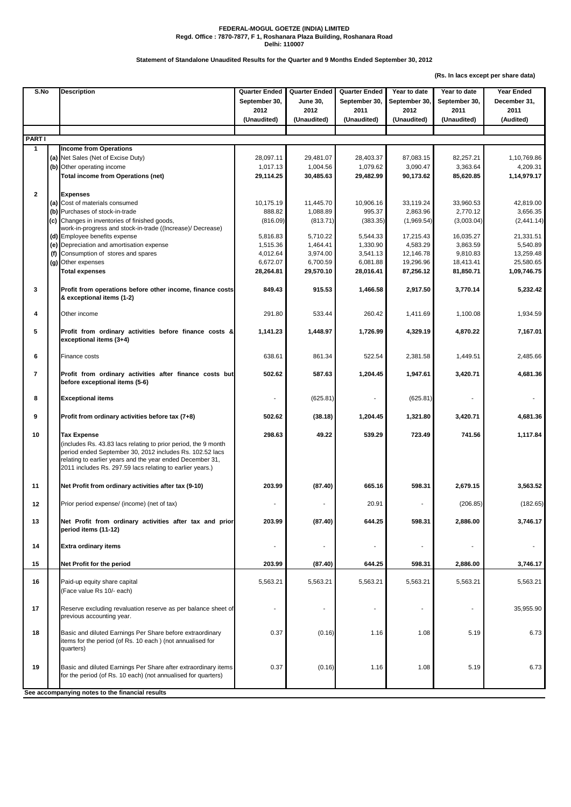**(Rs. In lacs except per share data)**

| S.No           |  | <b>Description</b>                                                                                                                                                                                                                                                         | <b>Quarter Ended</b><br>September 30,<br>2012 | <b>Quarter Ended</b><br><b>June 30,</b><br>2012 | <b>Quarter Ended</b><br>September 30,<br>2011 | Year to date<br>September 30,<br>2012 | Year to date<br>September 30,<br>2011 | <b>Year Ended</b><br>December 31,<br>2011 |
|----------------|--|----------------------------------------------------------------------------------------------------------------------------------------------------------------------------------------------------------------------------------------------------------------------------|-----------------------------------------------|-------------------------------------------------|-----------------------------------------------|---------------------------------------|---------------------------------------|-------------------------------------------|
|                |  |                                                                                                                                                                                                                                                                            | (Unaudited)                                   | (Unaudited)                                     | (Unaudited)                                   | (Unaudited)                           | (Unaudited)                           | (Audited)                                 |
| <b>PARTI</b>   |  |                                                                                                                                                                                                                                                                            |                                               |                                                 |                                               |                                       |                                       |                                           |
| $\mathbf 1$    |  | <b>Income from Operations</b>                                                                                                                                                                                                                                              |                                               |                                                 |                                               |                                       |                                       |                                           |
|                |  | (a) Net Sales (Net of Excise Duty)                                                                                                                                                                                                                                         | 28,097.11                                     | 29,481.07                                       | 28,403.37                                     | 87,083.15                             | 82,257.21                             | 1,10,769.86                               |
|                |  | (b) Other operating income                                                                                                                                                                                                                                                 | 1,017.13                                      | 1,004.56                                        | 1,079.62                                      | 3,090.47                              | 3,363.64                              | 4,209.31                                  |
|                |  | <b>Total income from Operations (net)</b>                                                                                                                                                                                                                                  | 29,114.25                                     | 30,485.63                                       | 29,482.99                                     | 90,173.62                             | 85,620.85                             | 1,14,979.17                               |
| $\mathbf{2}$   |  | <b>Expenses</b>                                                                                                                                                                                                                                                            |                                               |                                                 |                                               |                                       |                                       |                                           |
|                |  | (a) Cost of materials consumed                                                                                                                                                                                                                                             | 10,175.19                                     | 11,445.70                                       | 10,906.16                                     | 33,119.24                             | 33,960.53                             | 42,819.00                                 |
|                |  | (b) Purchases of stock-in-trade                                                                                                                                                                                                                                            | 888.82                                        | 1,088.89                                        | 995.37                                        | 2,863.96                              | 2,770.12                              | 3,656.35                                  |
|                |  | (c) Changes in inventories of finished goods,                                                                                                                                                                                                                              | (816.09)                                      | (813.71)                                        | (383.35)                                      | (1,969.54)                            | (3,003.04)                            | (2,441.14)                                |
|                |  | work-in-progress and stock-in-trade ((Increase)/ Decrease)                                                                                                                                                                                                                 |                                               |                                                 |                                               |                                       |                                       |                                           |
|                |  | (d) Employee benefits expense                                                                                                                                                                                                                                              | 5,816.83                                      | 5,710.22                                        | 5,544.33                                      | 17,215.43                             | 16,035.27                             | 21,331.51                                 |
|                |  | (e) Depreciation and amortisation expense                                                                                                                                                                                                                                  | 1,515.36                                      | 1,464.41                                        | 1,330.90                                      | 4,583.29                              | 3,863.59                              | 5,540.89                                  |
|                |  | (f) Consumption of stores and spares                                                                                                                                                                                                                                       | 4,012.64                                      | 3,974.00                                        | 3,541.13<br>6,081.88                          | 12,146.78                             | 9,810.83                              | 13,259.48                                 |
|                |  | (g) Other expenses<br><b>Total expenses</b>                                                                                                                                                                                                                                | 6,672.07<br>28,264.81                         | 6,700.59<br>29,570.10                           | 28,016.41                                     | 19,296.96<br>87,256.12                | 18,413.41<br>81,850.71                | 25,580.65<br>1,09,746.75                  |
|                |  |                                                                                                                                                                                                                                                                            |                                               |                                                 |                                               |                                       |                                       |                                           |
| 3              |  | Profit from operations before other income, finance costs<br>& exceptional items (1-2)                                                                                                                                                                                     | 849.43                                        | 915.53                                          | 1,466.58                                      | 2,917.50                              | 3,770.14                              | 5,232.42                                  |
| 4              |  | Other income                                                                                                                                                                                                                                                               | 291.80                                        | 533.44                                          | 260.42                                        | 1,411.69                              | 1,100.08                              | 1,934.59                                  |
| 5              |  | Profit from ordinary activities before finance costs &<br>exceptional items (3+4)                                                                                                                                                                                          | 1,141.23                                      | 1,448.97                                        | 1,726.99                                      | 4,329.19                              | 4,870.22                              | 7,167.01                                  |
| 6              |  | Finance costs                                                                                                                                                                                                                                                              | 638.61                                        | 861.34                                          | 522.54                                        | 2,381.58                              | 1,449.51                              | 2,485.66                                  |
| $\overline{7}$ |  | Profit from ordinary activities after finance costs but<br>before exceptional items (5-6)                                                                                                                                                                                  | 502.62                                        | 587.63                                          | 1,204.45                                      | 1,947.61                              | 3,420.71                              | 4,681.36                                  |
| 8              |  | <b>Exceptional items</b>                                                                                                                                                                                                                                                   |                                               | (625.81)                                        |                                               | (625.81)                              |                                       |                                           |
| 9              |  | Profit from ordinary activities before tax (7+8)                                                                                                                                                                                                                           | 502.62                                        | (38.18)                                         | 1,204.45                                      | 1,321.80                              | 3,420.71                              | 4,681.36                                  |
| 10             |  | <b>Tax Expense</b><br>(includes Rs. 43.83 lacs relating to prior period, the 9 month<br>period ended September 30, 2012 includes Rs. 102.52 lacs<br>relating to earlier years and the year ended December 31,<br>2011 includes Rs. 297.59 lacs relating to earlier years.) | 298.63                                        | 49.22                                           | 539.29                                        | 723.49                                | 741.56                                | 1,117.84                                  |
| 11             |  | Net Profit from ordinary activities after tax (9-10)                                                                                                                                                                                                                       | 203.99                                        | (87.40)                                         | 665.16                                        | 598.31                                | 2,679.15                              | 3,563.52                                  |
| 12             |  | Prior period expense/ (income) (net of tax)                                                                                                                                                                                                                                | $\blacksquare$                                |                                                 | 20.91                                         |                                       | (206.85)                              | (182.65)                                  |
| 13             |  | Net Profit from ordinary activities after tax and prior<br>period items (11-12)                                                                                                                                                                                            | 203.99                                        | (87.40)                                         | 644.25                                        | 598.31                                | 2,886.00                              | 3,746.17                                  |
| 14             |  | <b>Extra ordinary items</b>                                                                                                                                                                                                                                                |                                               |                                                 |                                               |                                       |                                       |                                           |
| 15             |  | Net Profit for the period                                                                                                                                                                                                                                                  | 203.99                                        | (87.40)                                         | 644.25                                        | 598.31                                | 2,886.00                              | 3,746.17                                  |
| 16             |  | Paid-up equity share capital<br>(Face value Rs 10/- each)                                                                                                                                                                                                                  | 5,563.21                                      | 5,563.21                                        | 5,563.21                                      | 5,563.21                              | 5,563.21                              | 5,563.21                                  |
| 17             |  | Reserve excluding revaluation reserve as per balance sheet of<br>previous accounting year.                                                                                                                                                                                 |                                               |                                                 |                                               |                                       | $\blacksquare$                        | 35,955.90                                 |
| 18             |  | Basic and diluted Earnings Per Share before extraordinary<br>items for the period (of Rs. 10 each) (not annualised for<br>quarters)                                                                                                                                        | 0.37                                          | (0.16)                                          | 1.16                                          | 1.08                                  | 5.19                                  | 6.73                                      |
| 19             |  | Basic and diluted Earnings Per Share after extraordinary items<br>for the period (of Rs. 10 each) (not annualised for quarters)                                                                                                                                            | 0.37                                          | (0.16)                                          | 1.16                                          | 1.08                                  | 5.19                                  | 6.73                                      |
|                |  | See accompanying notes to the financial results                                                                                                                                                                                                                            |                                               |                                                 |                                               |                                       |                                       |                                           |

## **FEDERAL-MOGUL GOETZE (INDIA) LIMITED Regd. Office : 7870-7877, F 1, Roshanara Plaza Building, Roshanara Road Delhi: 110007**

## **Statement of Standalone Unaudited Results for the Quarter and 9 Months Ended September 30, 2012**